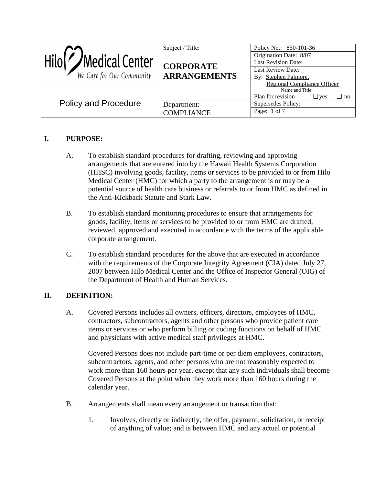|                             | Subject / Title:    | Policy No.: 850-101-36                       |
|-----------------------------|---------------------|----------------------------------------------|
| Hilo(<br>/Medical Center    |                     | Origination Date: 8/07                       |
|                             | <b>CORPORATE</b>    | <b>Last Revision Date:</b>                   |
|                             |                     | Last Review Date:                            |
| We Care for Our Community   | <b>ARRANGEMENTS</b> | By: Stephen Palmore,                         |
|                             |                     | <b>Regional Compliance Officer</b>           |
|                             |                     | Name and Title                               |
|                             |                     | Plan for revision<br>$\Box$ yes<br>$\Box$ no |
| <b>Policy and Procedure</b> | Department:         | Supersedes Policy:                           |
|                             | <b>COMPLIANCE</b>   | Page: 1 of 7                                 |

## **I. PURPOSE:**

- A. To establish standard procedures for drafting, reviewing and approving arrangements that are entered into by the Hawaii Health Systems Corporation (HHSC) involving goods, facility, items or services to be provided to or from Hilo Medical Center (HMC) for which a party to the arrangement is or may be a potential source of health care business or referrals to or from HMC as defined in the Anti-Kickback Statute and Stark Law.
- B. To establish standard monitoring procedures to ensure that arrangements for goods, facility, items or services to be provided to or from HMC are drafted, reviewed, approved and executed in accordance with the terms of the applicable corporate arrangement.
- C. To establish standard procedures for the above that are executed in accordance with the requirements of the Corporate Integrity Agreement (CIA) dated July 27, 2007 between Hilo Medical Center and the Office of Inspector General (OIG) of the Department of Health and Human Services.

## **II. DEFINITION:**

A. Covered Persons includes all owners, officers, directors, employees of HMC, contractors, subcontractors, agents and other persons who provide patient care items or services or who perform billing or coding functions on behalf of HMC and physicians with active medical staff privileges at HMC.

Covered Persons does not include part-time or per diem employees, contractors, subcontractors, agents, and other persons who are not reasonably expected to work more than 160 hours per year, except that any such individuals shall become Covered Persons at the point when they work more than 160 hours during the calendar year.

- B. Arrangements shall mean every arrangement or transaction that:
	- 1. Involves, directly or indirectly, the offer, payment, solicitation, or receipt of anything of value; and is between HMC and any actual or potential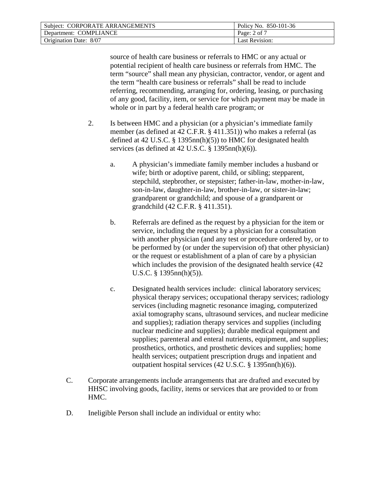| Subject: CORPORATE ARRANGEMENTS | Policy No. 850-101-36 |
|---------------------------------|-----------------------|
| Department: COMPLIANCE          | Page: $2$ of $7$      |
| Origination Date: 8/07          | Last Revision:        |

source of health care business or referrals to HMC or any actual or potential recipient of health care business or referrals from HMC. The term "source" shall mean any physician, contractor, vendor, or agent and the term "health care business or referrals" shall be read to include referring, recommending, arranging for, ordering, leasing, or purchasing of any good, facility, item, or service for which payment may be made in whole or in part by a federal health care program; or

- 2. Is between HMC and a physician (or a physician's immediate family member (as defined at 42 C.F.R. § 411.351)) who makes a referral (as defined at 42 U.S.C. § 1395nn(h)(5)) to HMC for designated health services (as defined at 42 U.S.C. § 1395nn(h)(6)).
	- a. A physician's immediate family member includes a husband or wife; birth or adoptive parent, child, or sibling; stepparent, stepchild, stepbrother, or stepsister; father-in-law, mother-in-law, son-in-law, daughter-in-law, brother-in-law, or sister-in-law; grandparent or grandchild; and spouse of a grandparent or grandchild (42 C.F.R. § 411.351).
	- b. Referrals are defined as the request by a physician for the item or service, including the request by a physician for a consultation with another physician (and any test or procedure ordered by, or to be performed by (or under the supervision of) that other physician) or the request or establishment of a plan of care by a physician which includes the provision of the designated health service (42 U.S.C. § 1395nn(h)(5)).
	- c. Designated health services include: clinical laboratory services; physical therapy services; occupational therapy services; radiology services (including magnetic resonance imaging, computerized axial tomography scans, ultrasound services, and nuclear medicine and supplies); radiation therapy services and supplies (including nuclear medicine and supplies); durable medical equipment and supplies; parenteral and enteral nutrients, equipment, and supplies; prosthetics, orthotics, and prosthetic devices and supplies; home health services; outpatient prescription drugs and inpatient and outpatient hospital services (42 U.S.C. § 1395nn(h)(6)).
- C. Corporate arrangements include arrangements that are drafted and executed by HHSC involving goods, facility, items or services that are provided to or from HMC.
- D. Ineligible Person shall include an individual or entity who: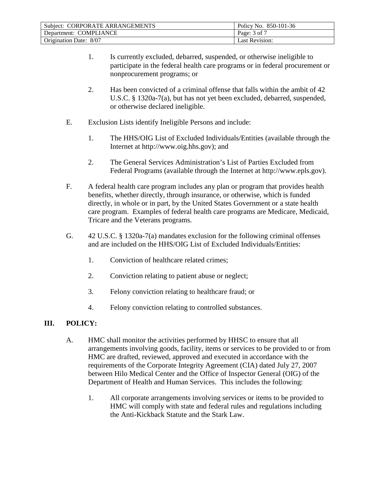| Subject: CORPORATE ARRANGEMENTS | Policy No. 850-101-36 |
|---------------------------------|-----------------------|
| Department: COMPLIANCE          | Page: 3 of 7          |
| Origination Date: 8/07          | <b>Last Revision:</b> |

- 1. Is currently excluded, debarred, suspended, or otherwise ineligible to participate in the federal health care programs or in federal procurement or nonprocurement programs; or
- 2. Has been convicted of a criminal offense that falls within the ambit of 42 U.S.C. § 1320a-7(a), but has not yet been excluded, debarred, suspended, or otherwise declared ineligible.
- E. Exclusion Lists identify Ineligible Persons and include:
	- 1. The HHS/OIG List of Excluded Individuals/Entities (available through the Internet at http://www.oig.hhs.gov); and
	- 2. The General Services Administration's List of Parties Excluded from Federal Programs (available through the Internet at http://www.epls.gov).
- F. A federal health care program includes any plan or program that provides health benefits, whether directly, through insurance, or otherwise, which is funded directly, in whole or in part, by the United States Government or a state health care program. Examples of federal health care programs are Medicare, Medicaid, Tricare and the Veterans programs.
- G. 42 U.S.C. § 1320a-7(a) mandates exclusion for the following criminal offenses and are included on the HHS/OIG List of Excluded Individuals/Entities:
	- 1. Conviction of healthcare related crimes;
	- 2. Conviction relating to patient abuse or neglect;
	- 3. Felony conviction relating to healthcare fraud; or
	- 4. Felony conviction relating to controlled substances.

## **III. POLICY:**

- A. HMC shall monitor the activities performed by HHSC to ensure that all arrangements involving goods, facility, items or services to be provided to or from HMC are drafted, reviewed, approved and executed in accordance with the requirements of the Corporate Integrity Agreement (CIA) dated July 27, 2007 between Hilo Medical Center and the Office of Inspector General (OIG) of the Department of Health and Human Services. This includes the following:
	- 1. All corporate arrangements involving services or items to be provided to HMC will comply with state and federal rules and regulations including the Anti-Kickback Statute and the Stark Law.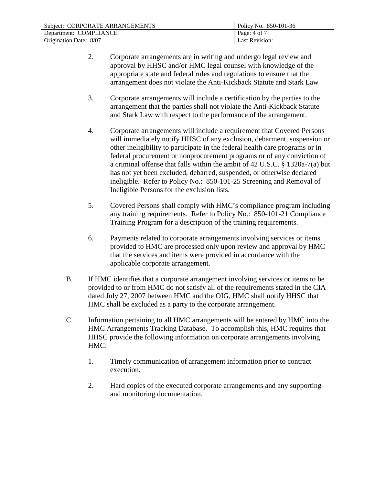| Subject: CORPORATE ARRANGEMENTS | Policy No. 850-101-36 |
|---------------------------------|-----------------------|
| Department: COMPLIANCE          | Page: $4$ of 7        |
| Origination Date: 8/07          | Last Revision:        |

- 2. Corporate arrangements are in writing and undergo legal review and approval by HHSC and/or HMC legal counsel with knowledge of the appropriate state and federal rules and regulations to ensure that the arrangement does not violate the Anti-Kickback Statute and Stark Law
- 3. Corporate arrangements will include a certification by the parties to the arrangement that the parties shall not violate the Anti-Kickback Statute and Stark Law with respect to the performance of the arrangement.
- 4. Corporate arrangements will include a requirement that Covered Persons will immediately notify HHSC of any exclusion, debarment, suspension or other ineligibility to participate in the federal health care programs or in federal procurement or nonprocurement programs or of any conviction of a criminal offense that falls within the ambit of 42 U.S.C. § 1320a-7(a) but has not yet been excluded, debarred, suspended, or otherwise declared ineligible. Refer to Policy No.: 850-101-25 Screening and Removal of Ineligible Persons for the exclusion lists.
- 5. Covered Persons shall comply with HMC's compliance program including any training requirements. Refer to Policy No.: 850-101-21 Compliance Training Program for a description of the training requirements.
- 6. Payments related to corporate arrangements involving services or items provided to HMC are processed only upon review and approval by HMC that the services and items were provided in accordance with the applicable corporate arrangement.
- B. If HMC identifies that a corporate arrangement involving services or items to be provided to or from HMC do not satisfy all of the requirements stated in the CIA dated July 27, 2007 between HMC and the OIG, HMC shall notify HHSC that HMC shall be excluded as a party to the corporate arrangement.
- C. Information pertaining to all HMC arrangements will be entered by HMC into the HMC Arrangements Tracking Database. To accomplish this, HMC requires that HHSC provide the following information on corporate arrangements involving HMC:
	- 1. Timely communication of arrangement information prior to contract execution.
	- 2. Hard copies of the executed corporate arrangements and any supporting and monitoring documentation.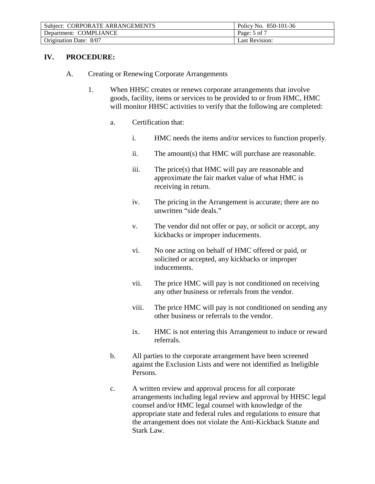| Subject: CORPORATE ARRANGEMENTS | Policy No. 850-101-36 |
|---------------------------------|-----------------------|
| Department: COMPLIANCE          | Page: 5 of 7          |
| Origination Date: 8/07          | Last Revision:        |

## **IV. PROCEDURE:**

- A. Creating or Renewing Corporate Arrangements
	- 1. When HHSC creates or renews corporate arrangements that involve goods, facility, items or services to be provided to or from HMC, HMC will monitor HHSC activities to verify that the following are completed:
		- a. Certification that:
			- i. HMC needs the items and/or services to function properly.
			- ii. The amount(s) that HMC will purchase are reasonable.
			- iii. The price(s) that HMC will pay are reasonable and approximate the fair market value of what HMC is receiving in return.
			- iv. The pricing in the Arrangement is accurate; there are no unwritten "side deals."
			- v. The vendor did not offer or pay, or solicit or accept, any kickbacks or improper inducements.
			- vi. No one acting on behalf of HMC offered or paid, or solicited or accepted, any kickbacks or improper inducements.
			- vii. The price HMC will pay is not conditioned on receiving any other business or referrals from the vendor.
			- viii. The price HMC will pay is not conditioned on sending any other business or referrals to the vendor.
			- ix. HMC is not entering this Arrangement to induce or reward referrals.
		- b. All parties to the corporate arrangement have been screened against the Exclusion Lists and were not identified as Ineligible Persons.
		- c. A written review and approval process for all corporate arrangements including legal review and approval by HHSC legal counsel and/or HMC legal counsel with knowledge of the appropriate state and federal rules and regulations to ensure that the arrangement does not violate the Anti-Kickback Statute and Stark Law.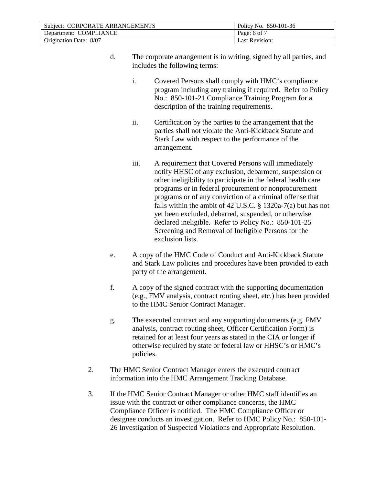| Subject: CORPORATE ARRANGEMENTS | Policy No. 850-101-36 |
|---------------------------------|-----------------------|
| Department: COMPLIANCE          | Page: 6 of 7          |
| Origination Date: 8/07          | Last Revision:        |

- d. The corporate arrangement is in writing, signed by all parties, and includes the following terms:
	- i. Covered Persons shall comply with HMC's compliance program including any training if required. Refer to Policy No.: 850-101-21 Compliance Training Program for a description of the training requirements.
	- ii. Certification by the parties to the arrangement that the parties shall not violate the Anti-Kickback Statute and Stark Law with respect to the performance of the arrangement.
	- iii. A requirement that Covered Persons will immediately notify HHSC of any exclusion, debarment, suspension or other ineligibility to participate in the federal health care programs or in federal procurement or nonprocurement programs or of any conviction of a criminal offense that falls within the ambit of 42 U.S.C. § 1320a-7(a) but has not yet been excluded, debarred, suspended, or otherwise declared ineligible. Refer to Policy No.: 850-101-25 Screening and Removal of Ineligible Persons for the exclusion lists.
- e. A copy of the HMC Code of Conduct and Anti-Kickback Statute and Stark Law policies and procedures have been provided to each party of the arrangement.
- f. A copy of the signed contract with the supporting documentation (e.g., FMV analysis, contract routing sheet, etc.) has been provided to the HMC Senior Contract Manager.
- g. The executed contract and any supporting documents (e.g. FMV analysis, contract routing sheet, Officer Certification Form) is retained for at least four years as stated in the CIA or longer if otherwise required by state or federal law or HHSC's or HMC's policies.
- 2. The HMC Senior Contract Manager enters the executed contract information into the HMC Arrangement Tracking Database.
- 3. If the HMC Senior Contract Manager or other HMC staff identifies an issue with the contract or other compliance concerns, the HMC Compliance Officer is notified. The HMC Compliance Officer or designee conducts an investigation. Refer to HMC Policy No.: 850-101- 26 Investigation of Suspected Violations and Appropriate Resolution.